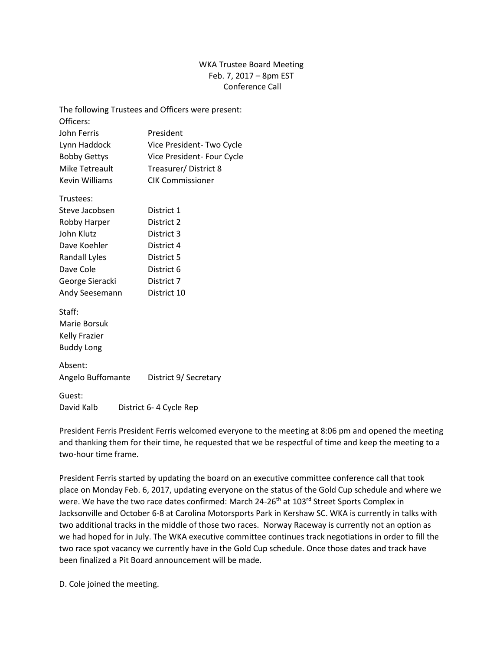## WKA Trustee Board Meeting Feb. 7, 2017 – 8pm EST Conference Call

|                                      | The following Trustees and Officers were present: |
|--------------------------------------|---------------------------------------------------|
| Officers:                            |                                                   |
| John Ferris                          | President                                         |
| Lynn Haddock                         | Vice President-Two Cycle                          |
| <b>Bobby Gettys</b>                  | Vice President- Four Cycle                        |
| <b>Mike Tetreault</b>                | Treasurer/District 8                              |
| <b>Kevin Williams</b>                | <b>CIK Commissioner</b>                           |
| Trustees:                            |                                                   |
| Steve Jacobsen                       | District 1                                        |
| Robby Harper                         | District 2                                        |
| John Klutz                           | District 3                                        |
| Dave Koehler                         | District 4                                        |
| <b>Randall Lyles</b>                 | District 5                                        |
| Dave Cole                            | District 6                                        |
| George Sieracki                      | District 7                                        |
| Andy Seesemann                       | District 10                                       |
| Staff:                               |                                                   |
| Marie Borsuk                         |                                                   |
| <b>Kelly Frazier</b>                 |                                                   |
| <b>Buddy Long</b>                    |                                                   |
| Absent:                              |                                                   |
| Angelo Buffomante                    | District 9/ Secretary                             |
| Guest:                               |                                                   |
| David Kalb<br>District 6-4 Cycle Rep |                                                   |

President Ferris President Ferris welcomed everyone to the meeting at 8:06 pm and opened the meeting and thanking them for their time, he requested that we be respectful of time and keep the meeting to a two-hour time frame.

President Ferris started by updating the board on an executive committee conference call that took place on Monday Feb. 6, 2017, updating everyone on the status of the Gold Cup schedule and where we were. We have the two race dates confirmed: March 24-26<sup>th</sup> at 103<sup>rd</sup> Street Sports Complex in Jacksonville and October 6-8 at Carolina Motorsports Park in Kershaw SC. WKA is currently in talks with two additional tracks in the middle of those two races. Norway Raceway is currently not an option as we had hoped for in July. The WKA executive committee continues track negotiations in order to fill the two race spot vacancy we currently have in the Gold Cup schedule. Once those dates and track have been finalized a Pit Board announcement will be made.

D. Cole joined the meeting.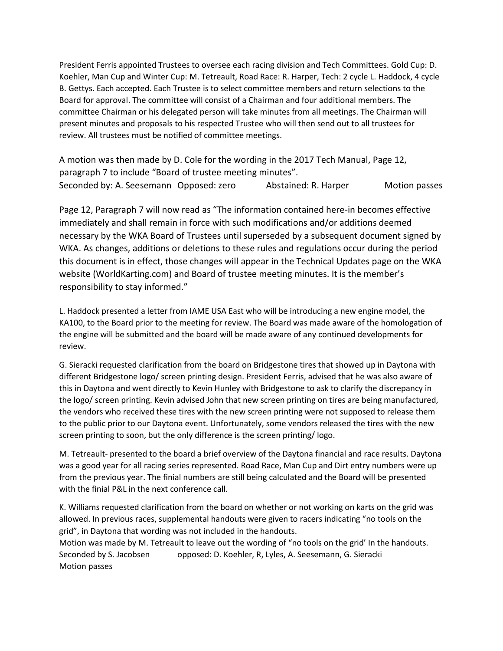President Ferris appointed Trustees to oversee each racing division and Tech Committees. Gold Cup: D. Koehler, Man Cup and Winter Cup: M. Tetreault, Road Race: R. Harper, Tech: 2 cycle L. Haddock, 4 cycle B. Gettys. Each accepted. Each Trustee is to select committee members and return selections to the Board for approval. The committee will consist of a Chairman and four additional members. The committee Chairman or his delegated person will take minutes from all meetings. The Chairman will present minutes and proposals to his respected Trustee who will then send out to all trustees for review. All trustees must be notified of committee meetings.

A motion was then made by D. Cole for the wording in the 2017 Tech Manual, Page 12, paragraph 7 to include "Board of trustee meeting minutes". Seconded by: A. Seesemann Opposed: zero Abstained: R. Harper Motion passes

Page 12, Paragraph 7 will now read as "The information contained here-in becomes effective immediately and shall remain in force with such modifications and/or additions deemed necessary by the WKA Board of Trustees until superseded by a subsequent document signed by WKA. As changes, additions or deletions to these rules and regulations occur during the period this document is in effect, those changes will appear in the Technical Updates page on the WKA website (WorldKarting.com) and Board of trustee meeting minutes. It is the member's responsibility to stay informed."

L. Haddock presented a letter from IAME USA East who will be introducing a new engine model, the KA100, to the Board prior to the meeting for review. The Board was made aware of the homologation of the engine will be submitted and the board will be made aware of any continued developments for review.

G. Sieracki requested clarification from the board on Bridgestone tires that showed up in Daytona with different Bridgestone logo/ screen printing design. President Ferris, advised that he was also aware of this in Daytona and went directly to Kevin Hunley with Bridgestone to ask to clarify the discrepancy in the logo/ screen printing. Kevin advised John that new screen printing on tires are being manufactured, the vendors who received these tires with the new screen printing were not supposed to release them to the public prior to our Daytona event. Unfortunately, some vendors released the tires with the new screen printing to soon, but the only difference is the screen printing/ logo.

M. Tetreault- presented to the board a brief overview of the Daytona financial and race results. Daytona was a good year for all racing series represented. Road Race, Man Cup and Dirt entry numbers were up from the previous year. The finial numbers are still being calculated and the Board will be presented with the finial P&L in the next conference call.

K. Williams requested clarification from the board on whether or not working on karts on the grid was allowed. In previous races, supplemental handouts were given to racers indicating "no tools on the grid", in Daytona that wording was not included in the handouts.

Motion was made by M. Tetreault to leave out the wording of "no tools on the grid' In the handouts. Seconded by S. Jacobsen opposed: D. Koehler, R, Lyles, A. Seesemann, G. Sieracki Motion passes